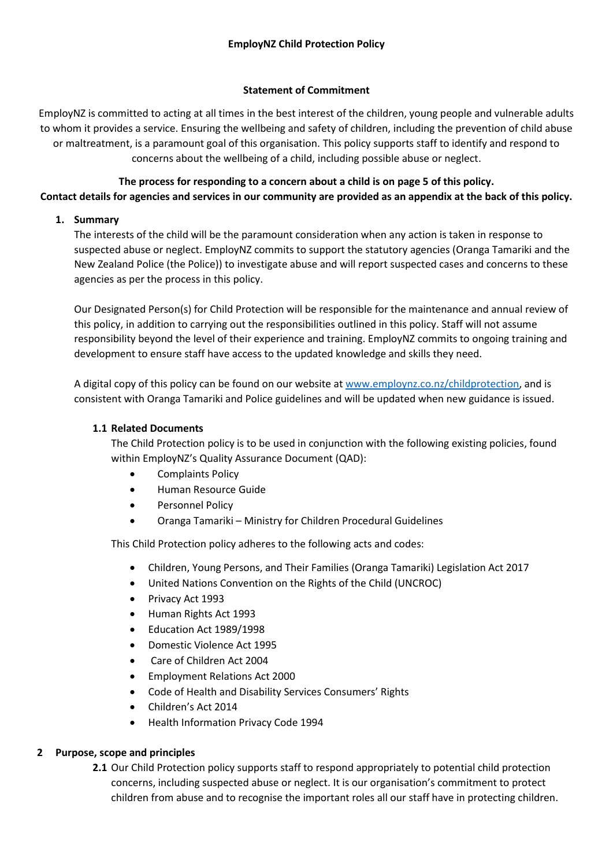# **Statement of Commitment**

EmployNZ is committed to acting at all times in the best interest of the children, young people and vulnerable adults to whom it provides a service. Ensuring the wellbeing and safety of children, including the prevention of child abuse or maltreatment, is a paramount goal of this organisation. This policy supports staff to identify and respond to concerns about the wellbeing of a child, including possible abuse or neglect.

# **The process for responding to a concern about a child is on page 5 of this policy. Contact details for agencies and services in our community are provided as an appendix at the back of this policy.**

# **1. Summary**

The interests of the child will be the paramount consideration when any action is taken in response to suspected abuse or neglect. EmployNZ commits to support the statutory agencies (Oranga Tamariki and the New Zealand Police (the Police)) to investigate abuse and will report suspected cases and concerns to these agencies as per the process in this policy.

Our Designated Person(s) for Child Protection will be responsible for the maintenance and annual review of this policy, in addition to carrying out the responsibilities outlined in this policy. Staff will not assume responsibility beyond the level of their experience and training. EmployNZ commits to ongoing training and development to ensure staff have access to the updated knowledge and skills they need.

A digital copy of this policy can be found on our website a[t www.employnz.co.nz/childprotection,](http://www.employnz.co.nz/childprotection) and is consistent with Oranga Tamariki and Police guidelines and will be updated when new guidance is issued.

## **1.1 Related Documents**

The Child Protection policy is to be used in conjunction with the following existing policies, found within EmployNZ's Quality Assurance Document (QAD):

- Complaints Policy
- Human Resource Guide
- Personnel Policy
- Oranga Tamariki Ministry for Children Procedural Guidelines

This Child Protection policy adheres to the following acts and codes:

- Children, Young Persons, and Their Families (Oranga Tamariki) Legislation Act 2017
- United Nations Convention on the Rights of the Child (UNCROC)
- Privacy Act 1993
- Human Rights Act 1993
- Education Act 1989/1998
- Domestic Violence Act 1995
- Care of Children Act 2004
- Employment Relations Act 2000
- Code of Health and Disability Services Consumers' Rights
- Children's Act 2014
- Health Information Privacy Code 1994

# **2 Purpose, scope and principles**

**2.1** Our Child Protection policy supports staff to respond appropriately to potential child protection concerns, including suspected abuse or neglect. It is our organisation's commitment to protect children from abuse and to recognise the important roles all our staff have in protecting children.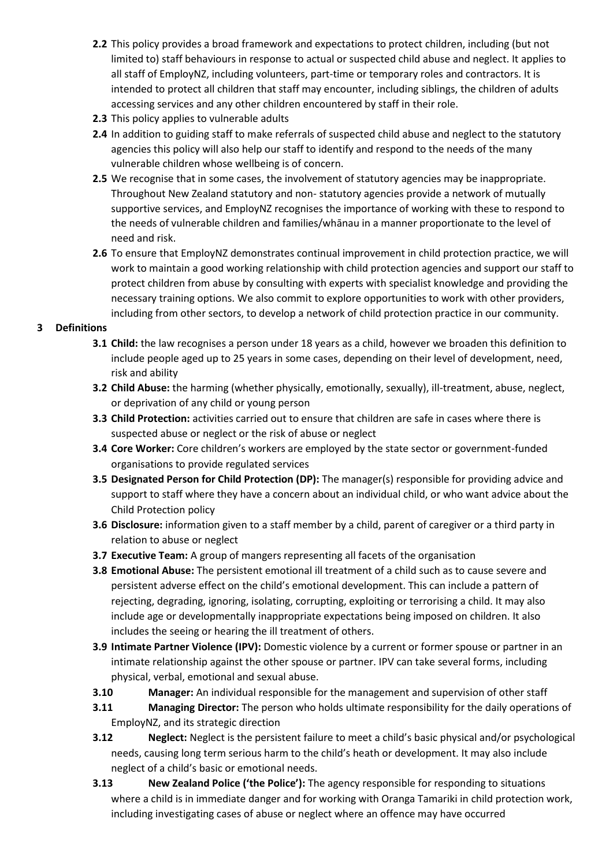- **2.2** This policy provides a broad framework and expectations to protect children, including (but not limited to) staff behaviours in response to actual or suspected child abuse and neglect. It applies to all staff of EmployNZ, including volunteers, part-time or temporary roles and contractors. It is intended to protect all children that staff may encounter, including siblings, the children of adults accessing services and any other children encountered by staff in their role.
- **2.3** This policy applies to vulnerable adults
- **2.4** In addition to guiding staff to make referrals of suspected child abuse and neglect to the statutory agencies this policy will also help our staff to identify and respond to the needs of the many vulnerable children whose wellbeing is of concern.
- **2.5** We recognise that in some cases, the involvement of statutory agencies may be inappropriate. Throughout New Zealand statutory and non- statutory agencies provide a network of mutually supportive services, and EmployNZ recognises the importance of working with these to respond to the needs of vulnerable children and families/whānau in a manner proportionate to the level of need and risk.
- **2.6** To ensure that EmployNZ demonstrates continual improvement in child protection practice, we will work to maintain a good working relationship with child protection agencies and support our staff to protect children from abuse by consulting with experts with specialist knowledge and providing the necessary training options. We also commit to explore opportunities to work with other providers, including from other sectors, to develop a network of child protection practice in our community.

# **3 Definitions**

- **3.1 Child:** the law recognises a person under 18 years as a child, however we broaden this definition to include people aged up to 25 years in some cases, depending on their level of development, need, risk and ability
- **3.2 Child Abuse:** the harming (whether physically, emotionally, sexually), ill-treatment, abuse, neglect, or deprivation of any child or young person
- **3.3 Child Protection:** activities carried out to ensure that children are safe in cases where there is suspected abuse or neglect or the risk of abuse or neglect
- **3.4 Core Worker:** Core children's workers are employed by the state sector or government-funded organisations to provide regulated services
- **3.5 Designated Person for Child Protection (DP):** The manager(s) responsible for providing advice and support to staff where they have a concern about an individual child, or who want advice about the Child Protection policy
- **3.6 Disclosure:** information given to a staff member by a child, parent of caregiver or a third party in relation to abuse or neglect
- **3.7 Executive Team:** A group of mangers representing all facets of the organisation
- **3.8 Emotional Abuse:** The persistent emotional ill treatment of a child such as to cause severe and persistent adverse effect on the child's emotional development. This can include a pattern of rejecting, degrading, ignoring, isolating, corrupting, exploiting or terrorising a child. It may also include age or developmentally inappropriate expectations being imposed on children. It also includes the seeing or hearing the ill treatment of others.
- **3.9 Intimate Partner Violence (IPV):** Domestic violence by a current or former spouse or partner in an intimate relationship against the other spouse or partner. IPV can take several forms, including physical, verbal, emotional and sexual abuse.
- **3.10 Manager:** An individual responsible for the management and supervision of other staff
- **3.11 Managing Director:** The person who holds ultimate responsibility for the daily operations of EmployNZ, and its strategic direction
- **3.12 Neglect:** Neglect is the persistent failure to meet a child's basic physical and/or psychological needs, causing long term serious harm to the child's heath or development. It may also include neglect of a child's basic or emotional needs.
- **3.13 New Zealand Police ('the Police'):** The agency responsible for responding to situations where a child is in immediate danger and for working with Oranga Tamariki in child protection work, including investigating cases of abuse or neglect where an offence may have occurred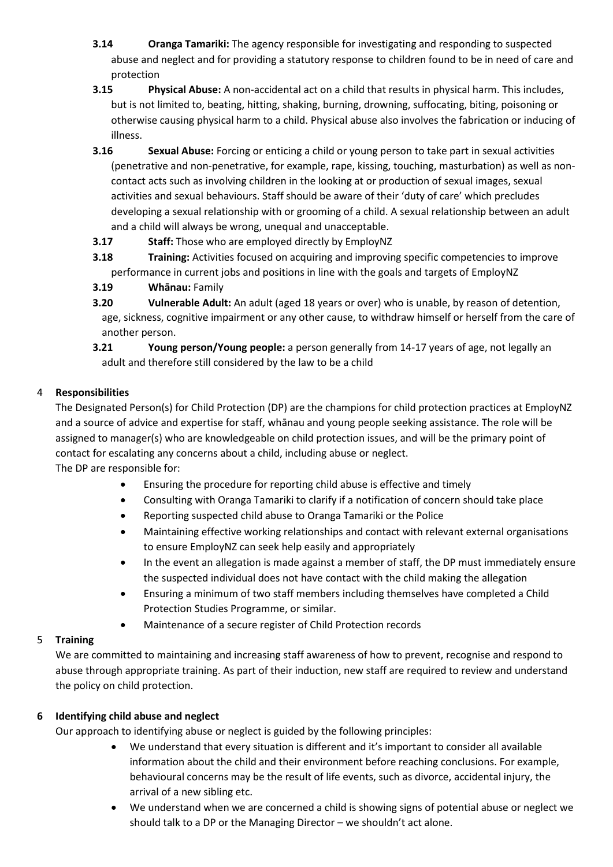- **3.14 Oranga Tamariki:** The agency responsible for investigating and responding to suspected abuse and neglect and for providing a statutory response to children found to be in need of care and protection
- **3.15 Physical Abuse:** A non-accidental act on a child that results in physical harm. This includes, but is not limited to, beating, hitting, shaking, burning, drowning, suffocating, biting, poisoning or otherwise causing physical harm to a child. Physical abuse also involves the fabrication or inducing of illness.
- **3.16 Sexual Abuse:** Forcing or enticing a child or young person to take part in sexual activities (penetrative and non-penetrative, for example, rape, kissing, touching, masturbation) as well as noncontact acts such as involving children in the looking at or production of sexual images, sexual activities and sexual behaviours. Staff should be aware of their 'duty of care' which precludes developing a sexual relationship with or grooming of a child. A sexual relationship between an adult and a child will always be wrong, unequal and unacceptable.
- **3.17 Staff:** Those who are employed directly by EmployNZ
- **3.18 Training:** Activities focused on acquiring and improving specific competencies to improve performance in current jobs and positions in line with the goals and targets of EmployNZ
- **3.19 Whānau:** Family
- **3.20 Vulnerable Adult:** An adult (aged 18 years or over) who is unable, by reason of detention, age, sickness, cognitive impairment or any other cause, to withdraw himself or herself from the care of another person.
- **3.21 Young person/Young people:** a person generally from 14-17 years of age, not legally an adult and therefore still considered by the law to be a child

# 4 **Responsibilities**

The Designated Person(s) for Child Protection (DP) are the champions for child protection practices at EmployNZ and a source of advice and expertise for staff, whānau and young people seeking assistance. The role will be assigned to manager(s) who are knowledgeable on child protection issues, and will be the primary point of contact for escalating any concerns about a child, including abuse or neglect. The DP are responsible for:

- Ensuring the procedure for reporting child abuse is effective and timely
- Consulting with Oranga Tamariki to clarify if a notification of concern should take place
- Reporting suspected child abuse to Oranga Tamariki or the Police
- Maintaining effective working relationships and contact with relevant external organisations to ensure EmployNZ can seek help easily and appropriately
- In the event an allegation is made against a member of staff, the DP must immediately ensure the suspected individual does not have contact with the child making the allegation
- Ensuring a minimum of two staff members including themselves have completed a Child Protection Studies Programme, or similar.
- Maintenance of a secure register of Child Protection records

# 5 **Training**

We are committed to maintaining and increasing staff awareness of how to prevent, recognise and respond to abuse through appropriate training. As part of their induction, new staff are required to review and understand the policy on child protection.

# **6 Identifying child abuse and neglect**

Our approach to identifying abuse or neglect is guided by the following principles:

- We understand that every situation is different and it's important to consider all available information about the child and their environment before reaching conclusions. For example, behavioural concerns may be the result of life events, such as divorce, accidental injury, the arrival of a new sibling etc.
- We understand when we are concerned a child is showing signs of potential abuse or neglect we should talk to a DP or the Managing Director – we shouldn't act alone.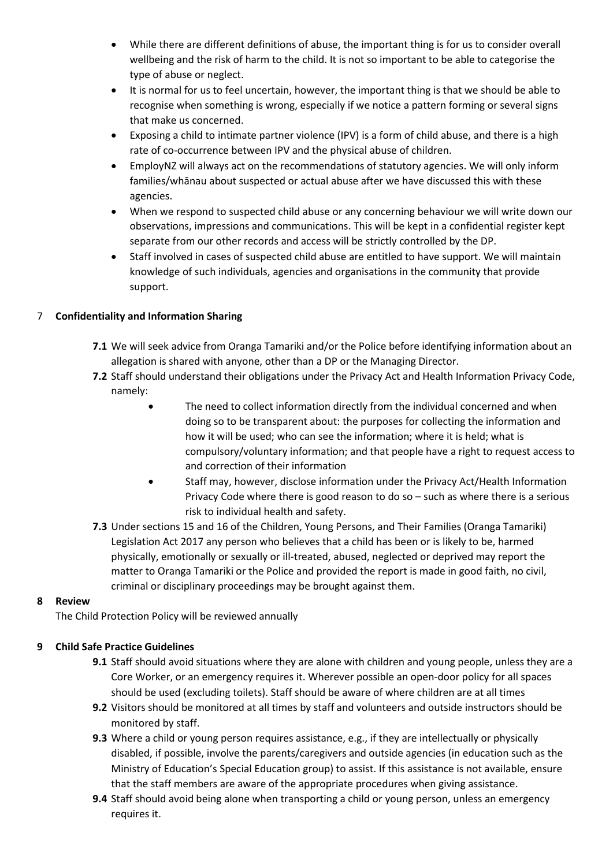- While there are different definitions of abuse, the important thing is for us to consider overall wellbeing and the risk of harm to the child. It is not so important to be able to categorise the type of abuse or neglect.
- It is normal for us to feel uncertain, however, the important thing is that we should be able to recognise when something is wrong, especially if we notice a pattern forming or several signs that make us concerned.
- Exposing a child to intimate partner violence (IPV) is a form of child abuse, and there is a high rate of co-occurrence between IPV and the physical abuse of children.
- EmployNZ will always act on the recommendations of statutory agencies. We will only inform families/whānau about suspected or actual abuse after we have discussed this with these agencies.
- When we respond to suspected child abuse or any concerning behaviour we will write down our observations, impressions and communications. This will be kept in a confidential register kept separate from our other records and access will be strictly controlled by the DP.
- Staff involved in cases of suspected child abuse are entitled to have support. We will maintain knowledge of such individuals, agencies and organisations in the community that provide support.

# 7 **Confidentiality and Information Sharing**

- **7.1** We will seek advice from Oranga Tamariki and/or the Police before identifying information about an allegation is shared with anyone, other than a DP or the Managing Director.
- **7.2** Staff should understand their obligations under the Privacy Act and Health Information Privacy Code, namely:
	- The need to collect information directly from the individual concerned and when doing so to be transparent about: the purposes for collecting the information and how it will be used; who can see the information; where it is held; what is compulsory/voluntary information; and that people have a right to request access to and correction of their information
	- Staff may, however, disclose information under the Privacy Act/Health Information Privacy Code where there is good reason to do so – such as where there is a serious risk to individual health and safety.
- **7.3** Under sections 15 and 16 of the Children, Young Persons, and Their Families (Oranga Tamariki) Legislation Act 2017 any person who believes that a child has been or is likely to be, harmed physically, emotionally or sexually or ill-treated, abused, neglected or deprived may report the matter to Oranga Tamariki or the Police and provided the report is made in good faith, no civil, criminal or disciplinary proceedings may be brought against them.

# **8 Review**

The Child Protection Policy will be reviewed annually

# **9 Child Safe Practice Guidelines**

- **9.1** Staff should avoid situations where they are alone with children and young people, unless they are a Core Worker, or an emergency requires it. Wherever possible an open-door policy for all spaces should be used (excluding toilets). Staff should be aware of where children are at all times
- **9.2** Visitors should be monitored at all times by staff and volunteers and outside instructors should be monitored by staff.
- **9.3** Where a child or young person requires assistance, e.g., if they are intellectually or physically disabled, if possible, involve the parents/caregivers and outside agencies (in education such as the Ministry of Education's Special Education group) to assist. If this assistance is not available, ensure that the staff members are aware of the appropriate procedures when giving assistance.
- **9.4** Staff should avoid being alone when transporting a child or young person, unless an emergency requires it.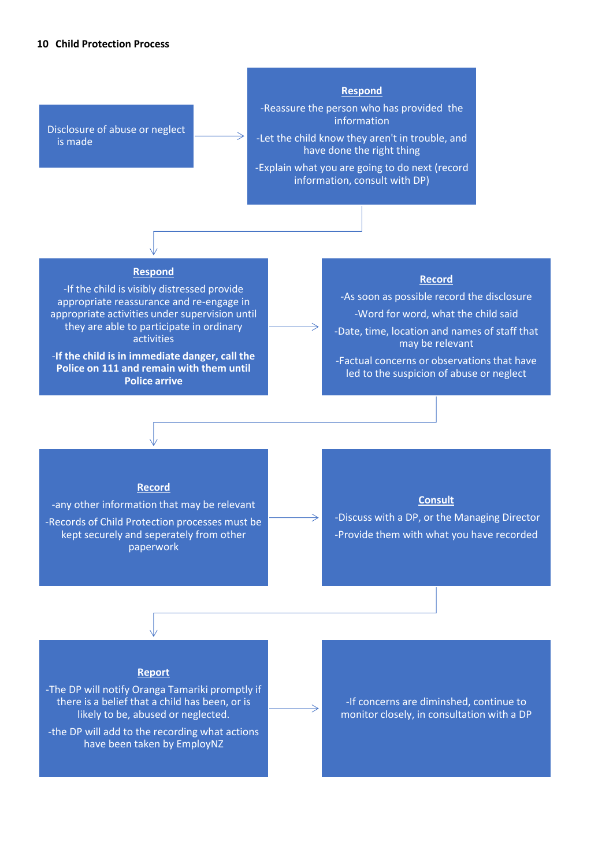### **10 Child Protection Process**

Disclosure of abuse or neglect is made

#### **Respond**

-Reassure the person who has provided the information

-Let the child know they aren't in trouble, and have done the right thing

-Explain what you are going to do next (record information, consult with DP)

### **Respond**

-If the child is visibly distressed provide appropriate reassurance and re-engage in appropriate activities under supervision until they are able to participate in ordinary activities

-**If the child is in immediate danger, call the Police on 111 and remain with them until Police arrive**

### **Record**

-As soon as possible record the disclosure -Word for word, what the child said -Date, time, location and names of staff that

may be relevant -Factual concerns or observations that have

led to the suspicion of abuse or neglect

#### **Record**

-any other information that may be relevant -Records of Child Protection processes must be kept securely and seperately from other paperwork

### **Consult**

-Discuss with a DP, or the Managing Director -Provide them with what you have recorded

#### **Report**

-The DP will notify Oranga Tamariki promptly if there is a belief that a child has been, or is likely to be, abused or neglected.

-the DP will add to the recording what actions have been taken by EmployNZ

-If concerns are diminshed, continue to monitor closely, in consultation with a DP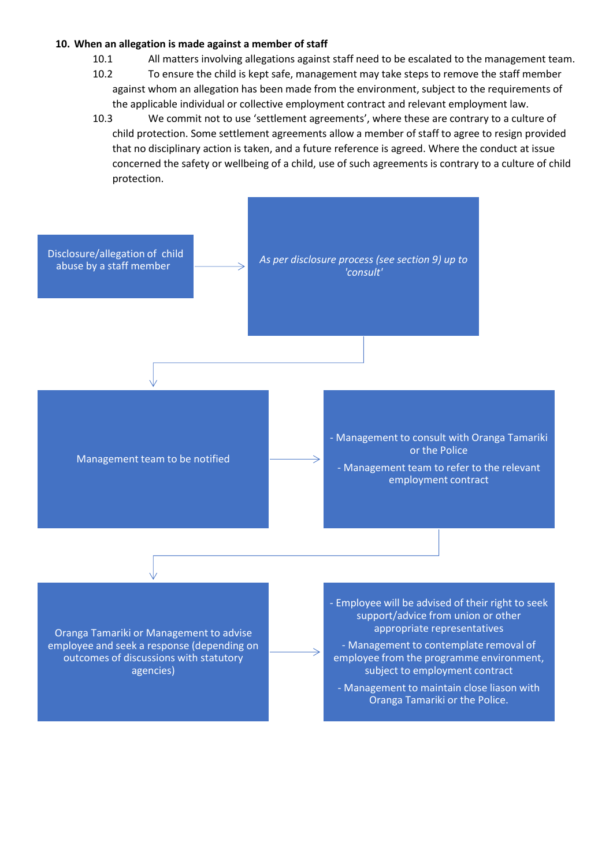## **10. When an allegation is made against a member of staff**

- 10.1 All matters involving allegations against staff need to be escalated to the management team.
- 10.2 To ensure the child is kept safe, management may take steps to remove the staff member against whom an allegation has been made from the environment, subject to the requirements of the applicable individual or collective employment contract and relevant employment law.
- 10.3 We commit not to use 'settlement agreements', where these are contrary to a culture of child protection. Some settlement agreements allow a member of staff to agree to resign provided that no disciplinary action is taken, and a future reference is agreed. Where the conduct at issue concerned the safety or wellbeing of a child, use of such agreements is contrary to a culture of child protection.

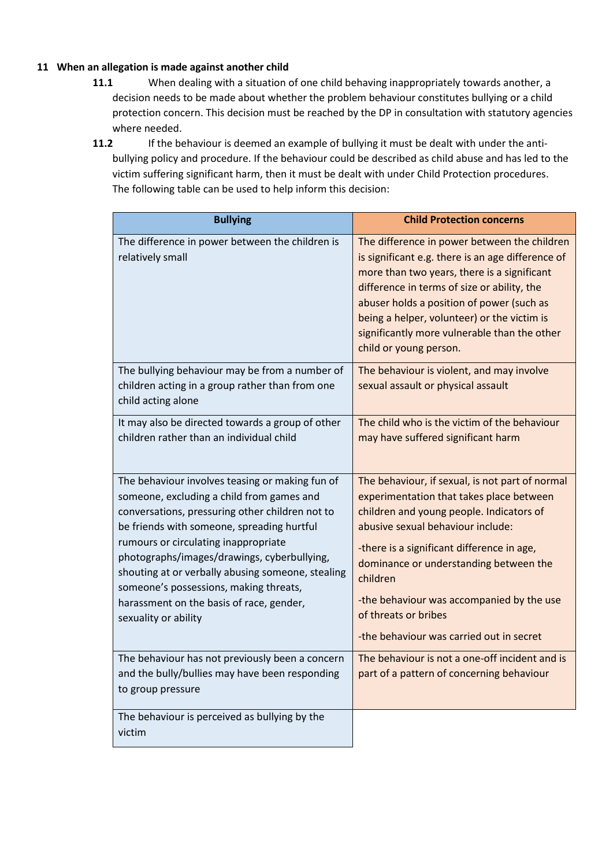## **11 When an allegation is made against another child**

- **11.1** When dealing with a situation of one child behaving inappropriately towards another, a decision needs to be made about whether the problem behaviour constitutes bullying or a child protection concern. This decision must be reached by the DP in consultation with statutory agencies where needed.
- **11.2** If the behaviour is deemed an example of bullying it must be dealt with under the antibullying policy and procedure. If the behaviour could be described as child abuse and has led to the victim suffering significant harm, then it must be dealt with under Child Protection procedures. The following table can be used to help inform this decision:

| <b>Bullying</b>                                                                                                                                                                                                                                                                                                                                                                                                                                         | <b>Child Protection concerns</b>                                                                                                                                                                                                                                                                                                                                                                  |
|---------------------------------------------------------------------------------------------------------------------------------------------------------------------------------------------------------------------------------------------------------------------------------------------------------------------------------------------------------------------------------------------------------------------------------------------------------|---------------------------------------------------------------------------------------------------------------------------------------------------------------------------------------------------------------------------------------------------------------------------------------------------------------------------------------------------------------------------------------------------|
| The difference in power between the children is<br>relatively small                                                                                                                                                                                                                                                                                                                                                                                     | The difference in power between the children<br>is significant e.g. there is an age difference of<br>more than two years, there is a significant<br>difference in terms of size or ability, the<br>abuser holds a position of power (such as<br>being a helper, volunteer) or the victim is<br>significantly more vulnerable than the other<br>child or young person.                             |
| The bullying behaviour may be from a number of<br>children acting in a group rather than from one<br>child acting alone                                                                                                                                                                                                                                                                                                                                 | The behaviour is violent, and may involve<br>sexual assault or physical assault                                                                                                                                                                                                                                                                                                                   |
| It may also be directed towards a group of other<br>children rather than an individual child                                                                                                                                                                                                                                                                                                                                                            | The child who is the victim of the behaviour<br>may have suffered significant harm                                                                                                                                                                                                                                                                                                                |
| The behaviour involves teasing or making fun of<br>someone, excluding a child from games and<br>conversations, pressuring other children not to<br>be friends with someone, spreading hurtful<br>rumours or circulating inappropriate<br>photographs/images/drawings, cyberbullying,<br>shouting at or verbally abusing someone, stealing<br>someone's possessions, making threats,<br>harassment on the basis of race, gender,<br>sexuality or ability | The behaviour, if sexual, is not part of normal<br>experimentation that takes place between<br>children and young people. Indicators of<br>abusive sexual behaviour include:<br>-there is a significant difference in age,<br>dominance or understanding between the<br>children<br>-the behaviour was accompanied by the use<br>of threats or bribes<br>-the behaviour was carried out in secret |
| The behaviour has not previously been a concern<br>and the bully/bullies may have been responding<br>to group pressure                                                                                                                                                                                                                                                                                                                                  | The behaviour is not a one-off incident and is<br>part of a pattern of concerning behaviour                                                                                                                                                                                                                                                                                                       |
| The behaviour is perceived as bullying by the<br>victim                                                                                                                                                                                                                                                                                                                                                                                                 |                                                                                                                                                                                                                                                                                                                                                                                                   |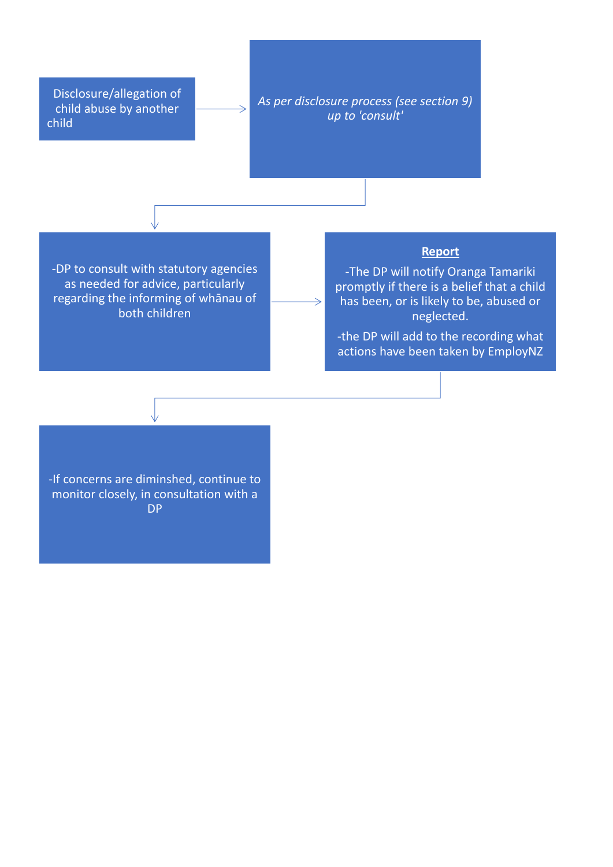Disclosure/allegation of child abuse by another child

*As per disclosure process (see section 9) up to 'consult'*

 $\Rightarrow$ 

-DP to consult with statutory agencies as needed for advice, particularly regarding the informing of whānau of both children

## **Report**

-The DP will notify Oranga Tamariki promptly if there is a belief that a child has been, or is likely to be, abused or neglected.

-the DP will add to the recording what actions have been taken by EmployNZ

-If concerns are diminshed, continue to monitor closely, in consultation with a DP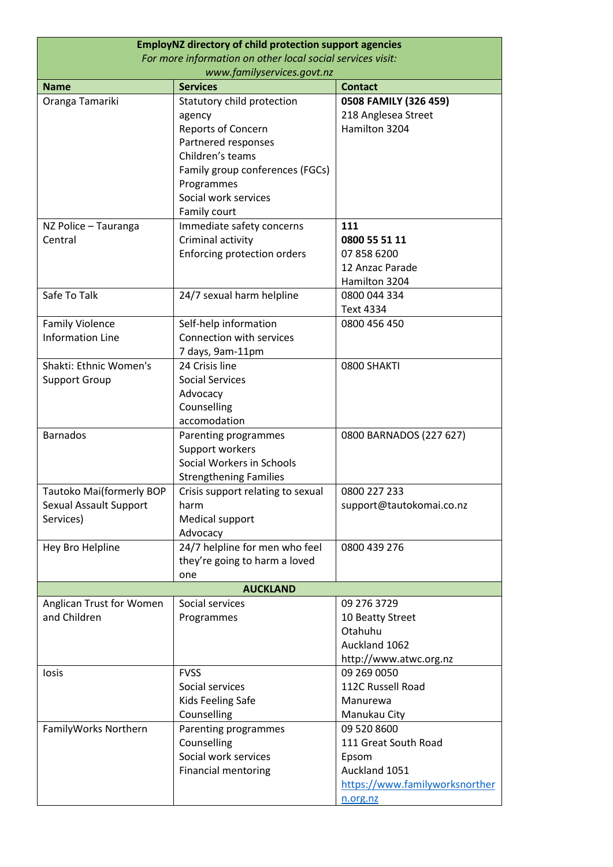| <b>EmployNZ directory of child protection support agencies</b> |                                   |                                  |
|----------------------------------------------------------------|-----------------------------------|----------------------------------|
| For more information on other local social services visit:     |                                   |                                  |
|                                                                | www.familyservices.govt.nz        |                                  |
| <b>Name</b>                                                    | <b>Services</b>                   | <b>Contact</b>                   |
| Oranga Tamariki                                                | Statutory child protection        | 0508 FAMILY (326 459)            |
|                                                                | agency                            | 218 Anglesea Street              |
|                                                                | Reports of Concern                | Hamilton 3204                    |
|                                                                | Partnered responses               |                                  |
|                                                                | Children's teams                  |                                  |
|                                                                | Family group conferences (FGCs)   |                                  |
|                                                                | Programmes                        |                                  |
|                                                                | Social work services              |                                  |
|                                                                | Family court                      |                                  |
| NZ Police - Tauranga                                           | Immediate safety concerns         | 111                              |
| Central                                                        | Criminal activity                 | 0800 55 51 11                    |
|                                                                | Enforcing protection orders       | 07 858 6200                      |
|                                                                |                                   | 12 Anzac Parade<br>Hamilton 3204 |
| Safe To Talk                                                   |                                   | 0800 044 334                     |
|                                                                | 24/7 sexual harm helpline         | Text 4334                        |
| <b>Family Violence</b>                                         | Self-help information             | 0800 456 450                     |
| <b>Information Line</b>                                        | Connection with services          |                                  |
|                                                                | 7 days, 9am-11pm                  |                                  |
| Shakti: Ethnic Women's                                         | 24 Crisis line                    | 0800 SHAKTI                      |
| Support Group                                                  | <b>Social Services</b>            |                                  |
|                                                                | Advocacy                          |                                  |
|                                                                | Counselling                       |                                  |
|                                                                | accomodation                      |                                  |
| <b>Barnados</b>                                                | Parenting programmes              | 0800 BARNADOS (227 627)          |
|                                                                | Support workers                   |                                  |
|                                                                | Social Workers in Schools         |                                  |
|                                                                | <b>Strengthening Families</b>     |                                  |
| Tautoko Mai(formerly BOP                                       | Crisis support relating to sexual | 0800 227 233                     |
| Sexual Assault Support                                         | harm                              | support@tautokomai.co.nz         |
| Services)                                                      | Medical support                   |                                  |
|                                                                | Advocacy                          |                                  |
| Hey Bro Helpline                                               | 24/7 helpline for men who feel    | 0800 439 276                     |
|                                                                | they're going to harm a loved     |                                  |
|                                                                | one                               |                                  |
| <b>AUCKLAND</b>                                                |                                   |                                  |
| Anglican Trust for Women                                       | Social services                   | 09 276 3729                      |
| and Children                                                   | Programmes                        | 10 Beatty Street                 |
|                                                                |                                   | Otahuhu                          |
|                                                                |                                   | Auckland 1062                    |
|                                                                |                                   | http://www.atwc.org.nz           |
| losis                                                          | <b>FVSS</b>                       | 09 269 0050                      |
|                                                                | Social services                   | 112C Russell Road                |
|                                                                | Kids Feeling Safe                 | Manurewa                         |
|                                                                | Counselling                       | Manukau City                     |
| FamilyWorks Northern                                           | Parenting programmes              | 09 520 8600                      |
|                                                                | Counselling                       | 111 Great South Road             |
|                                                                | Social work services              | Epsom<br>Auckland 1051           |
|                                                                | <b>Financial mentoring</b>        | https://www.familyworksnorther   |
|                                                                |                                   |                                  |
|                                                                |                                   | n.org.nz                         |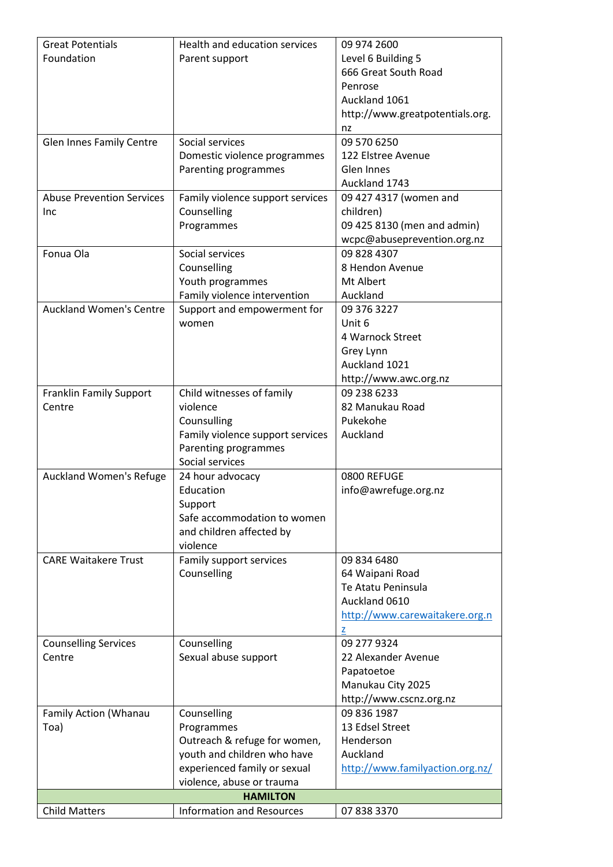| <b>Great Potentials</b>          | Health and education services    | 09 974 2600                     |
|----------------------------------|----------------------------------|---------------------------------|
| Foundation                       | Parent support                   | Level 6 Building 5              |
|                                  |                                  | 666 Great South Road            |
|                                  |                                  | Penrose                         |
|                                  |                                  | Auckland 1061                   |
|                                  |                                  | http://www.greatpotentials.org. |
|                                  |                                  | nz                              |
| <b>Glen Innes Family Centre</b>  | Social services                  | 09 570 6250                     |
|                                  | Domestic violence programmes     | 122 Elstree Avenue              |
|                                  | Parenting programmes             | Glen Innes                      |
|                                  |                                  | Auckland 1743                   |
| <b>Abuse Prevention Services</b> | Family violence support services | 09 427 4317 (women and          |
| Inc                              | Counselling                      | children)                       |
|                                  | Programmes                       | 09 425 8130 (men and admin)     |
|                                  |                                  | wcpc@abuseprevention.org.nz     |
| Fonua Ola                        | Social services                  | 09 828 4307                     |
|                                  | Counselling                      | 8 Hendon Avenue                 |
|                                  | Youth programmes                 | Mt Albert                       |
|                                  | Family violence intervention     | Auckland                        |
| <b>Auckland Women's Centre</b>   | Support and empowerment for      | 09 376 3227                     |
|                                  | women                            | Unit 6                          |
|                                  |                                  | 4 Warnock Street                |
|                                  |                                  |                                 |
|                                  |                                  | Grey Lynn                       |
|                                  |                                  | Auckland 1021                   |
|                                  |                                  | http://www.awc.org.nz           |
| <b>Franklin Family Support</b>   | Child witnesses of family        | 09 238 6233                     |
| Centre                           | violence                         | 82 Manukau Road                 |
|                                  | Counsulling                      | Pukekohe                        |
|                                  | Family violence support services | Auckland                        |
|                                  | Parenting programmes             |                                 |
|                                  | Social services                  |                                 |
| Auckland Women's Refuge          | 24 hour advocacy                 | 0800 REFUGE                     |
|                                  | Education                        | info@awrefuge.org.nz            |
|                                  | Support                          |                                 |
|                                  | Safe accommodation to women      |                                 |
|                                  | and children affected by         |                                 |
|                                  | violence                         |                                 |
| <b>CARE Waitakere Trust</b>      | Family support services          | 09 834 6480                     |
|                                  | Counselling                      | 64 Waipani Road                 |
|                                  |                                  | Te Atatu Peninsula              |
|                                  |                                  | Auckland 0610                   |
|                                  |                                  | http://www.carewaitakere.org.n  |
|                                  |                                  | z                               |
| <b>Counselling Services</b>      | Counselling                      | 09 277 9324                     |
| Centre                           | Sexual abuse support             | 22 Alexander Avenue             |
|                                  |                                  | Papatoetoe                      |
|                                  |                                  | Manukau City 2025               |
|                                  |                                  | http://www.cscnz.org.nz         |
| Family Action (Whanau            | Counselling                      | 09 836 1987                     |
| Toa)                             | Programmes                       | 13 Edsel Street                 |
|                                  | Outreach & refuge for women,     | Henderson                       |
|                                  | youth and children who have      | Auckland                        |
|                                  | experienced family or sexual     | http://www.familyaction.org.nz/ |
|                                  | violence, abuse or trauma        |                                 |
|                                  | <b>HAMILTON</b>                  |                                 |
| <b>Child Matters</b>             | <b>Information and Resources</b> | 07 838 3370                     |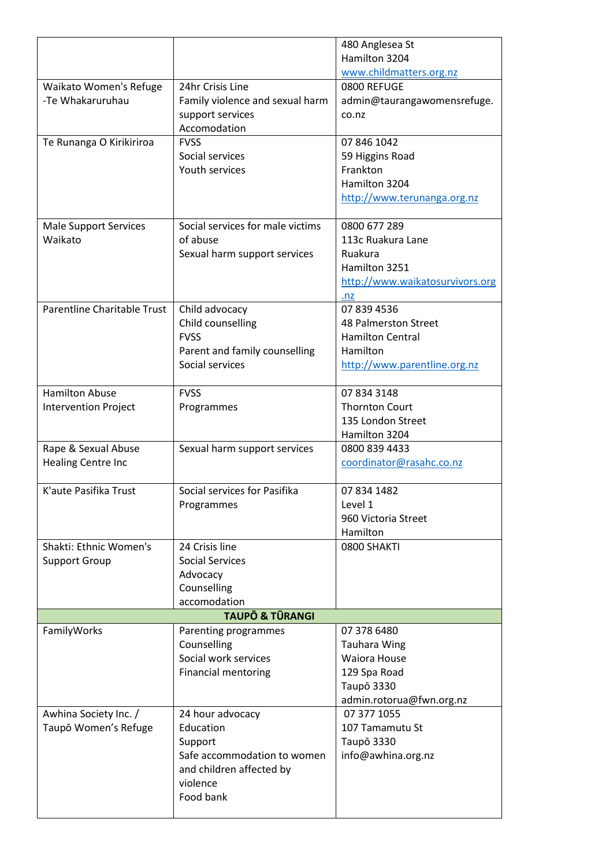|                              |                                  | 480 Anglesea St                 |
|------------------------------|----------------------------------|---------------------------------|
|                              |                                  | Hamilton 3204                   |
|                              |                                  | www.childmatters.org.nz         |
| Waikato Women's Refuge       | 24hr Crisis Line                 | 0800 REFUGE                     |
| -Te Whakaruruhau             | Family violence and sexual harm  | admin@taurangawomensrefuge.     |
|                              | support services                 | co.nz                           |
|                              | Accomodation                     |                                 |
| Te Runanga O Kirikiriroa     | <b>FVSS</b>                      | 07 846 1042                     |
|                              | Social services                  | 59 Higgins Road                 |
|                              | Youth services                   | Frankton                        |
|                              |                                  | Hamilton 3204                   |
|                              |                                  | http://www.terunanga.org.nz     |
|                              |                                  |                                 |
| <b>Male Support Services</b> | Social services for male victims | 0800 677 289                    |
| Waikato                      | of abuse                         | 113c Ruakura Lane               |
|                              | Sexual harm support services     | Ruakura                         |
|                              |                                  | Hamilton 3251                   |
|                              |                                  | http://www.waikatosurvivors.org |
|                              |                                  | .nz                             |
| Parentline Charitable Trust  | Child advocacy                   | 07 839 4536                     |
|                              | Child counselling                | 48 Palmerston Street            |
|                              | <b>FVSS</b>                      | <b>Hamilton Central</b>         |
|                              | Parent and family counselling    | Hamilton                        |
|                              | Social services                  | http://www.parentline.org.nz    |
|                              |                                  |                                 |
| <b>Hamilton Abuse</b>        | <b>FVSS</b>                      | 07 834 3148                     |
| <b>Intervention Project</b>  | Programmes                       | <b>Thornton Court</b>           |
|                              |                                  | 135 London Street               |
|                              |                                  | Hamilton 3204                   |
| Rape & Sexual Abuse          | Sexual harm support services     | 0800 839 4433                   |
| Healing Centre Inc           |                                  | coordinator@rasahc.co.nz        |
|                              |                                  |                                 |
| K'aute Pasifika Trust        | Social services for Pasifika     | 07 834 1482                     |
|                              | Programmes                       | Level 1                         |
|                              |                                  | 960 Victoria Street             |
|                              |                                  | Hamilton                        |
| Shakti: Ethnic Women's       | 24 Crisis line                   | 0800 SHAKTI                     |
| <b>Support Group</b>         | <b>Social Services</b>           |                                 |
|                              | Advocacy                         |                                 |
|                              | Counselling                      |                                 |
|                              | accomodation                     |                                 |
| <b>TAUPO &amp; TŪRANGI</b>   |                                  |                                 |
| FamilyWorks                  | Parenting programmes             | 07 378 6480                     |
|                              | Counselling                      | <b>Tauhara Wing</b>             |
|                              | Social work services             | <b>Waiora House</b>             |
|                              | <b>Financial mentoring</b>       | 129 Spa Road                    |
|                              |                                  | <b>Taupō 3330</b>               |
|                              |                                  | admin.rotorua@fwn.org.nz        |
| Awhina Society Inc. /        | 24 hour advocacy                 | 07 377 1055                     |
| Taupō Women's Refuge         | Education                        | 107 Tamamutu St                 |
|                              | Support                          | Taupō 3330                      |
|                              | Safe accommodation to women      | info@awhina.org.nz              |
|                              | and children affected by         |                                 |
|                              | violence                         |                                 |
|                              | Food bank                        |                                 |
|                              |                                  |                                 |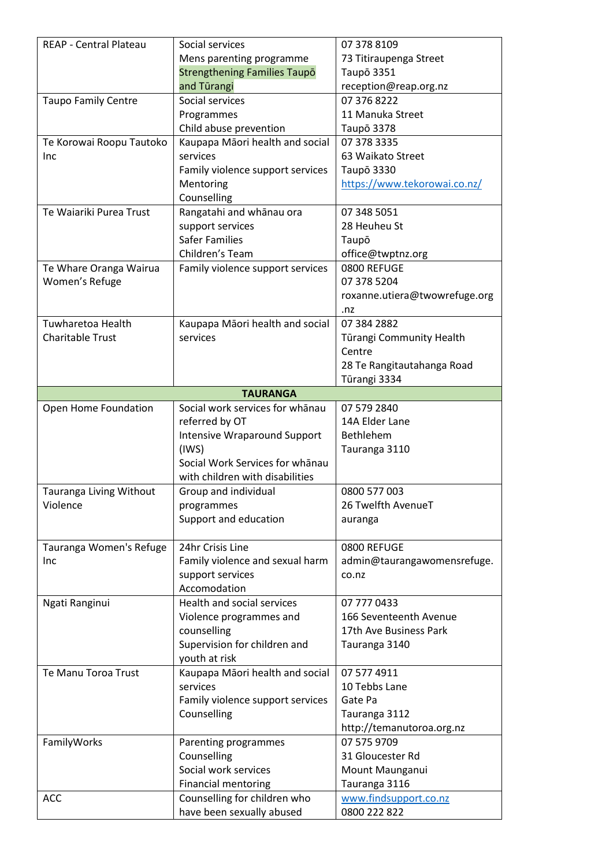| REAP - Central Plateau     | Social services                     | 07 378 8109                   |
|----------------------------|-------------------------------------|-------------------------------|
|                            | Mens parenting programme            | 73 Titiraupenga Street        |
|                            | <b>Strengthening Families Taupo</b> | Taupō 3351                    |
|                            | and Turangi                         | reception@reap.org.nz         |
| <b>Taupo Family Centre</b> | Social services                     | 07 376 8222                   |
|                            | Programmes                          | 11 Manuka Street              |
|                            | Child abuse prevention              | Taupō 3378                    |
| Te Korowai Roopu Tautoko   | Kaupapa Māori health and social     | 07 378 3335                   |
|                            | services                            |                               |
| Inc                        |                                     | 63 Waikato Street             |
|                            | Family violence support services    | Taupō 3330                    |
|                            | Mentoring                           | https://www.tekorowai.co.nz/  |
|                            | Counselling                         |                               |
| Te Waiariki Purea Trust    | Rangatahi and whānau ora            | 07 348 5051                   |
|                            | support services                    | 28 Heuheu St                  |
|                            | <b>Safer Families</b>               | Taupō                         |
|                            | Children's Team                     | office@twptnz.org             |
| Te Whare Oranga Wairua     | Family violence support services    | 0800 REFUGE                   |
| Women's Refuge             |                                     | 07 378 5204                   |
|                            |                                     | roxanne.utiera@twowrefuge.org |
|                            |                                     | .nz                           |
| Tuwharetoa Health          | Kaupapa Māori health and social     | 07 384 2882                   |
| <b>Charitable Trust</b>    | services                            | Tūrangi Community Health      |
|                            |                                     | Centre                        |
|                            |                                     | 28 Te Rangitautahanga Road    |
|                            |                                     | Tūrangi 3334                  |
|                            | <b>TAURANGA</b>                     |                               |
| Open Home Foundation       | Social work services for whanau     | 07 579 2840                   |
|                            | referred by OT                      | 14A Elder Lane                |
|                            | <b>Intensive Wraparound Support</b> | Bethlehem                     |
|                            | (1WS)                               | Tauranga 3110                 |
|                            | Social Work Services for whanau     |                               |
|                            | with children with disabilities     |                               |
| Tauranga Living Without    | Group and individual                | 0800 577 003                  |
| Violence                   | programmes                          | 26 Twelfth AvenueT            |
|                            | Support and education               | auranga                       |
|                            |                                     |                               |
| Tauranga Women's Refuge    | 24hr Crisis Line                    | 0800 REFUGE                   |
| Inc                        | Family violence and sexual harm     | admin@taurangawomensrefuge.   |
|                            | support services                    | co.nz                         |
|                            | Accomodation                        |                               |
| Ngati Ranginui             | Health and social services          | 07 777 0433                   |
|                            | Violence programmes and             | 166 Seventeenth Avenue        |
|                            | counselling                         | 17th Ave Business Park        |
|                            |                                     |                               |
|                            | Supervision for children and        | Tauranga 3140                 |
|                            | youth at risk                       |                               |
| Te Manu Toroa Trust        | Kaupapa Māori health and social     | 07 577 4911                   |
|                            | services                            | 10 Tebbs Lane                 |
|                            | Family violence support services    | Gate Pa                       |
|                            | Counselling                         | Tauranga 3112                 |
|                            |                                     |                               |
|                            |                                     | http://temanutoroa.org.nz     |
| FamilyWorks                | Parenting programmes                | 07 575 9709                   |
|                            | Counselling                         | 31 Gloucester Rd              |
|                            | Social work services                | Mount Maunganui               |
|                            | <b>Financial mentoring</b>          | Tauranga 3116                 |
| <b>ACC</b>                 | Counselling for children who        | www.findsupport.co.nz         |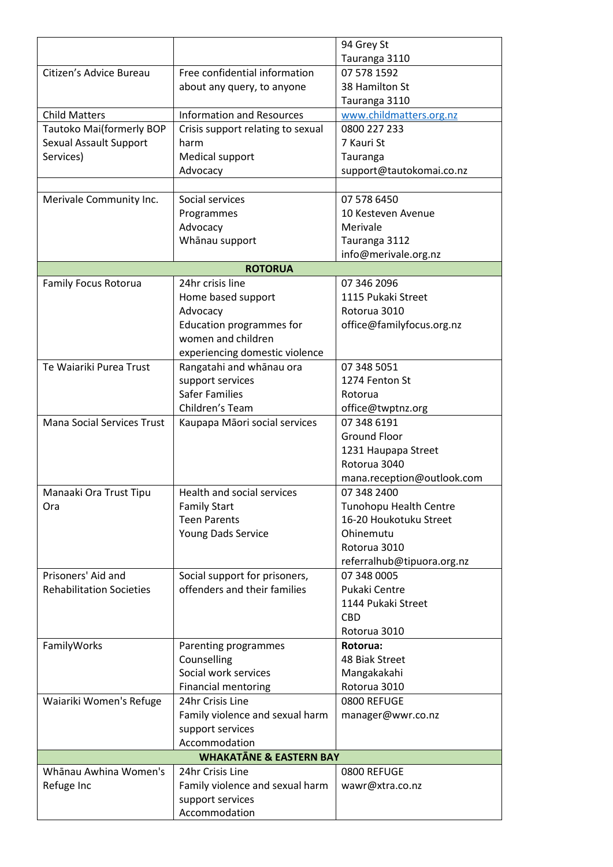|                                   |                                                     | 94 Grey St                    |
|-----------------------------------|-----------------------------------------------------|-------------------------------|
|                                   |                                                     | Tauranga 3110                 |
| Citizen's Advice Bureau           | Free confidential information                       | 07 578 1592                   |
|                                   | about any query, to anyone                          | 38 Hamilton St                |
|                                   |                                                     | Tauranga 3110                 |
| <b>Child Matters</b>              | <b>Information and Resources</b>                    | www.childmatters.org.nz       |
| Tautoko Mai(formerly BOP          | Crisis support relating to sexual                   | 0800 227 233                  |
| Sexual Assault Support            | harm                                                | 7 Kauri St                    |
| Services)                         | Medical support                                     | Tauranga                      |
|                                   | Advocacy                                            | support@tautokomai.co.nz      |
|                                   |                                                     |                               |
| Merivale Community Inc.           | Social services                                     | 07 578 6450                   |
|                                   | Programmes                                          | 10 Kesteven Avenue            |
|                                   | Advocacy                                            | Merivale                      |
|                                   | Whānau support                                      | Tauranga 3112                 |
|                                   |                                                     | info@merivale.org.nz          |
|                                   | <b>ROTORUA</b>                                      |                               |
| <b>Family Focus Rotorua</b>       | 24hr crisis line                                    | 07 346 2096                   |
|                                   | Home based support                                  | 1115 Pukaki Street            |
|                                   | Advocacy                                            | Rotorua 3010                  |
|                                   | <b>Education programmes for</b>                     | office@familyfocus.org.nz     |
|                                   | women and children                                  |                               |
|                                   | experiencing domestic violence                      |                               |
| Te Waiariki Purea Trust           | Rangatahi and whānau ora                            | 07 348 5051                   |
|                                   | support services                                    | 1274 Fenton St                |
|                                   | <b>Safer Families</b>                               | Rotorua                       |
|                                   | Children's Team                                     | office@twptnz.org             |
| <b>Mana Social Services Trust</b> | Kaupapa Māori social services                       | 07 348 6191                   |
|                                   |                                                     | <b>Ground Floor</b>           |
|                                   |                                                     | 1231 Haupapa Street           |
|                                   |                                                     | Rotorua 3040                  |
|                                   |                                                     | mana.reception@outlook.com    |
| Manaaki Ora Trust Tipu            | Health and social services                          | 07 348 2400                   |
| Ora                               | <b>Family Start</b>                                 | <b>Tunohopu Health Centre</b> |
|                                   | <b>Teen Parents</b>                                 | 16-20 Houkotuku Street        |
|                                   | Young Dads Service                                  | Ohinemutu                     |
|                                   |                                                     | Rotorua 3010                  |
|                                   |                                                     | referralhub@tipuora.org.nz    |
| Prisoners' Aid and                | Social support for prisoners,                       | 07 348 0005                   |
| <b>Rehabilitation Societies</b>   | offenders and their families                        | Pukaki Centre                 |
|                                   |                                                     | 1144 Pukaki Street            |
|                                   |                                                     | <b>CBD</b>                    |
|                                   |                                                     | Rotorua 3010                  |
| FamilyWorks                       | Parenting programmes                                | Rotorua:                      |
|                                   | Counselling<br>Social work services                 | 48 Biak Street                |
|                                   |                                                     | Mangakakahi                   |
|                                   | <b>Financial mentoring</b><br>24hr Crisis Line      | Rotorua 3010<br>0800 REFUGE   |
| Waiariki Women's Refuge           |                                                     |                               |
|                                   | Family violence and sexual harm                     | manager@wwr.co.nz             |
|                                   | support services<br>Accommodation                   |                               |
|                                   | <b>WHAKATANE &amp; EASTERN BAY</b>                  |                               |
| Whānau Awhina Women's             | 24hr Crisis Line                                    | 0800 REFUGE                   |
|                                   |                                                     |                               |
| Refuge Inc                        | Family violence and sexual harm<br>support services | wawr@xtra.co.nz               |
|                                   |                                                     |                               |
|                                   | Accommodation                                       |                               |